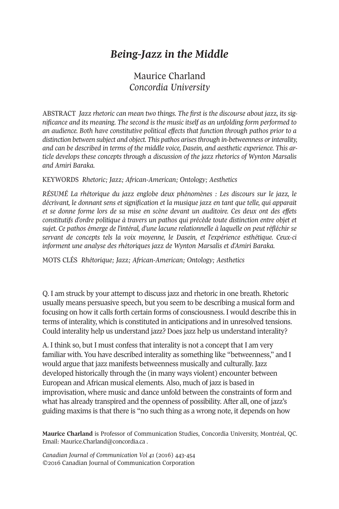# *Being-Jazz in the Middle*

## Maurice Charland *Concordia University*

AbstrACt *Jazz rhetoric can mean two things. The first is the discourse about jazz, its significance and its meaning. The second is the music itself as an unfolding form performed to an audience. Both have constitutive political effects that function through pathos prior to a distinction between subject and object. This pathos arisesthrough in-betweenness orinterality, and can be described in terms of the middle voice, Dasein, and aesthetic experience. This article develops these concepts through a discussion of the jazz rhetorics of Wynton Marsalis and Amiri Baraka.*

### Keywords *Rhetoric; Jazz; African-American; Ontology; Aesthetics*

*RÉSUMÉ La rhétorique du jazz englobe deux phénomènes : Les discours sur le jazz, le décrivant, le donnant sens et signification et la musique jazz en tant que telle, qui apparait et se donne forme lors de sa mise en scène devant un auditoire. Ces deux ont des effets constitutifs d'ordre politique à travers un pathos qui précède toute distinction entre objet et sujet. Ce pathos émerge de l'intéral, d'une lacune relationnelle à laquelle on peut réfléchir se servant de concepts tels la voix moyenne, le Dasein, et l'expérience esthétique. Ceux-ci informent une analyse des rhétoriques jazz de Wynton Marsalis et d'Amiri Baraka.*

Mots Clés *Rhétorique; Jazz; African-American; Ontology; Aesthetics*

Q. I am struck by your attempt to discuss jazz and rhetoric in one breath. Rhetoric usually means persuasive speech, but you seem to be describing a musical form and focusing on how it calls forth certain forms of consciousness. I would describe this in terms of interality, which is constituted in anticipations and in unresolved tensions. Could interality help us understand jazz? Does jazz help us understand interality?

A. I think so, but I must confess that interality is not a concept that I am very familiar with. you have described interality as something like "betweenness," and I would argue that jazz manifests betweenness musically and culturally. Jazz developed historically through the (in many ways violent) encounter between European and African musical elements. Also, much of jazz is based in improvisation, where music and dance unfold between the constraints of form and what has already transpired and the openness of possibility. After all, one of jazz's guiding maxims is that there is "no such thing as a wrong note, it depends on how

**Maurice Charland** is Professor of Communication studies, Concordia University, Montréal, QC. Email: [Maurice.Charland@concordia.ca](mailto:Maurice.Charland@concordia.ca).

*Canadian Journal of [Communication](http://www.cjc-online.ca) Vol 41* (2016) 443-454 ©2016 Canadian Journal of Communication Corporation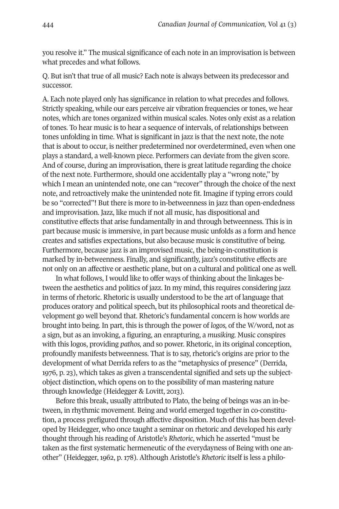you resolve it." the musical significance of each note in an improvisation is between what precedes and what follows.

O. But isn't that true of all music? Each note is always between its predecessor and successor.

A. Each note played only has significance in relation to what precedes and follows. strictly speaking, while our ears perceive air vibration frequencies or tones, we hear notes, which are tones organized within musical scales. Notes only exist as a relation of tones. to hear music is to hear a sequence of intervals, of relationships between tones unfolding in time. what is significant in jazz is that the next note, the note that is about to occur, is neither predetermined nor overdetermined, even when one plays a standard, a well-known piece. Performers can deviate from the given score. And of course, during an improvisation, there is great latitude regarding the choice of the next note. Furthermore, should one accidentally play a "wrong note," by which I mean an unintended note, one can "recover" through the choice of the next note, and retroactively make the unintended note fit. Imagine if typing errors could be so "corrected"! but there is more to in-betweenness in jazz than open-endedness and improvisation. Jazz, like much if not all music, has dispositional and constitutive effects that arise fundamentally in and through betweenness. this is in part because music is immersive, in part because music unfolds as a form and hence creates and satisfies expectations, but also because music is constitutive of being. Furthermore, because jazz is an improvised music, the being-in-constitution is marked by in-betweenness. Finally, and significantly, jazz's constitutive effects are not only on an affective or aesthetic plane, but on a cultural and political one as well.

In what follows, I would like to offer ways of thinking about the linkages between the aesthetics and politics of jazz. In my mind, this requires considering jazz in terms of rhetoric. Rhetoric is usually understood to be the art of language that produces oratory and political speech, but its philosophical roots and theoretical development go well beyond that. rhetoric's fundamental concern is how worlds are brought into being. In part, this is through the power of *logos,* of the w/word, not as a sign, but as an invoking, a figuring, an enrapturing, a *musiking.* Music conspires with this logos, providing *pathos*, and so power. Rhetoric, in its original conception, profoundly manifests betweenness. that is to say, rhetoric's origins are prior to the development of what Derrida refers to as the "metaphysics of presence" (Derrida, 1976, p. 23), which takes as given a transcendental signified and sets up the subjectobject distinction, which opens on to the possibility of man mastering nature through knowledge (Heidegger & lovitt, 2013).

before this break, usually attributed to Plato, the being of beings was an in-between, in rhythmic movement. being and world emerged together in co-constitution, a process prefigured through affective disposition. Much of this has been developed by Heidegger, who once taught a seminar on rhetoric and developed his early thought through his reading of Aristotle's *Rhetoric*, which he asserted "must be taken as the first systematic hermeneutic of the everydayness of being with one another" (Heidegger, 1962, p. 178). Although Aristotle's *Rhetoric* itself is less a philo-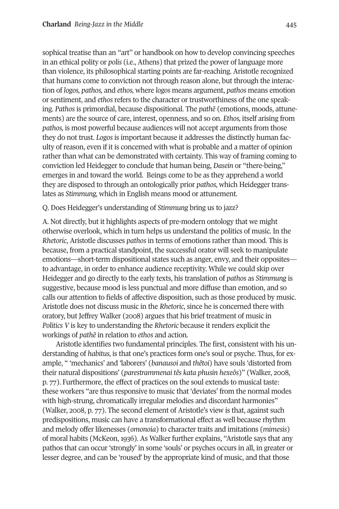sophical treatise than an "art" or handbook on how to develop convincing speeches in an ethical polity or *polis* (i.e., Athens) that prized the power of language more than violence, its philosophical starting points are far-reaching. Aristotle recognized that humans come to conviction not through reason alone, but through the interaction of *logos, pathos,* and *ethos,* where *logos* means argument, *pathos* means emotion or sentiment, and *ethos* refers to the character or trustworthiness of the one speaking. *Pathos* is primordial, because dispositional. the *pathē* (emotions, moods, attunements) are the source of care, interest, openness, and so on. *Ethos,* itself arising from *pathos,* is most powerful because audiences will not accept arguments from those they do not trust. *Logos* is important because it addresses the distinctly human faculty of reason, even if it is concerned with what is probable and a matter of opinion rather than what can be demonstrated with certainty. This way of framing coming to conviction led Heidegger to conclude that human being, *Dasein* or "there-being," emerges in and toward the world. beings come to be as they apprehend a world they are disposed to through an ontologically prior *pathos,* which Heidegger translates as *Stimmung*, which in English means mood or attunement.

#### Q. Does Heidegger's understanding of *Stimmung* bring us to jazz?

A. Not directly, but it highlights aspects of pre-modern ontology that we might otherwise overlook, which in turn helps us understand the politics of music. In the *Rhetoric*, Aristotle discusses *pathos* in terms of emotions rather than mood. this is because, from a practical standpoint, the successful orator will seek to manipulate emotions—short-term dispositional states such as anger, envy, and their opposites to advantage, in order to enhance audience receptivity. while we could skip over Heidegger and go directly to the early texts, his translation of *pathos* as *Stimmung* is suggestive, because mood is less punctual and more diffuse than emotion, and so calls our attention to fields of affective disposition, such as those produced by music. Aristotle does not discuss music in the *Rhetoric*, since he is concerned there with oratory, but Jeffrey walker (2008) argues that his brief treatment of music in *Politics V* is key to understanding the *Rhetoric* because it renders explicit the workings of *pathē* in relation to *ethos* and action.

Aristotle identifies two fundamental principles. the first, consistent with his understanding of *habitus,* is that one's practices form one's soul or psyche. thus, for example, " 'mechanics' and 'laborers' (*banausoi* and *thêtoi*) have souls 'distorted from their natural dispositions' (*parestrammenai tês kata phusin hexeôs*)" (walker, 2008, p. 77). Furthermore, the effect of practices on the soul extends to musical taste: these workers "are thus responsive to music that 'deviates' from the normal modes with high-strung, chromatically irregular melodies and discordant harmonies" (Walker, 2008, p. 77). The second element of Aristotle's view is that, against such predispositions, music can have a transformational effect as well because rhythm and melody offer likenesses (*omonoia*) to character traits and imitations (*mimesis*) of moral habits (McKeon, 1936). As walker further explains, "Aristotle says that any pathos that can occur 'strongly' in some 'souls' or psyches occurs in all, in greater or lesser degree, and can be 'roused' by the appropriate kind of music, and that those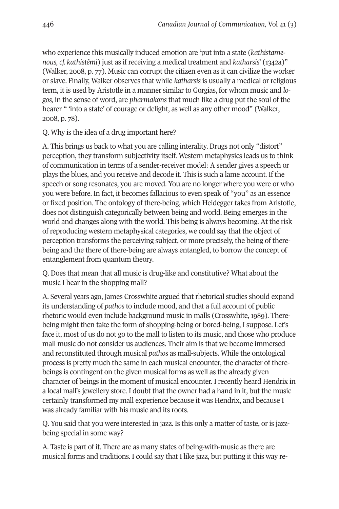who experience this musically induced emotion are 'put into a state (*kathistamenous, cf. kathistêmi*) just as if receiving a medical treatment and *katharsis*' (1342a)" (walker, 2008, p. 77). Music can corrupt the citizen even as it can civilize the worker or slave. Finally, walker observes that while *katharsis* is usually a medical or religious term, it is used by Aristotle in a manner similar to Gorgias, for whom music and *logos,* in the sense of word, are *pharmakons* that much like a drug put the soul of the hearer " 'into a state' of courage or delight, as well as any other mood" (Walker, 2008, p. 78).

Q. why is the idea of a drug important here?

A. This brings us back to what you are calling interality. Drugs not only "distort" perception, they transform subjectivity itself. western metaphysics leads us to think of communication in terms of a sender-receiver model: A sender gives a speech or plays the blues, and you receive and decode it. this is such a lame account. If the speech or song resonates, you are moved. you are no longer where you were or who you were before. In fact, it becomes fallacious to even speak of "you" as an essence or fixed position. the ontology of there-being, which Heidegger takes from Aristotle, does not distinguish categorically between being and world. being emerges in the world and changes along with the world. This being is always becoming. At the risk of reproducing western metaphysical categories, we could say that the object of perception transforms the perceiving subject, or more precisely, the being of therebeing and the there of there-being are always entangled, to borrow the concept of entanglement from quantum theory.

Q. Does that mean that all music is drug-like and constitutive? What about the music I hear in the shopping mall?

A. several years ago, James Crosswhite argued that rhetorical studies should expand its understanding of *pathos* to include mood, and that a full account of public rhetoric would even include background music in malls (Crosswhite, 1989). therebeing might then take the form of shopping-being or bored-being, I suppose. let's face it, most of us do not go to the mall to listen to its music, and those who produce mall music do not consider us audiences. their aim is that we become immersed and reconstituted through musical *pathos* as mall-subjects. while the ontological process is pretty much the same in each musical encounter, the character of therebeings is contingent on the given musical forms as well as the already given character of beings in the moment of musical encounter. I recently heard Hendrix in a local mall's jewellery store. I doubt that the owner had a hand in it, but the music certainly transformed my mall experience because it was Hendrix, and because I was already familiar with his music and its roots.

Q. you said that you were interested in jazz. Is this only a matter of taste, or is jazzbeing special in some way?

A. Taste is part of it. There are as many states of being-with-music as there are musical forms and traditions. I could say that I like jazz, but putting it this way re-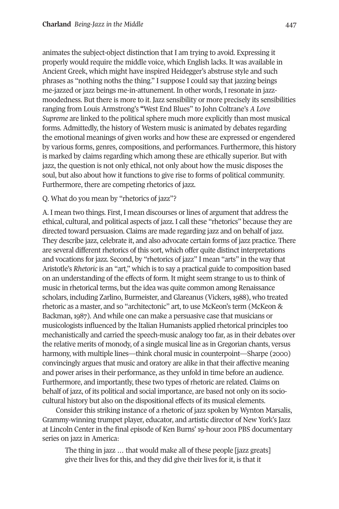animates the subject-object distinction that I am trying to avoid. Expressing it properly would require the middle voice, which english lacks. It was available in Ancient Greek, which might have inspired Heidegger's abstruse style and such phrases as "nothing noths the thing." I suppose I could say that jazzing beings me-jazzed or jazz beings me-in-attunement. In other words, I resonate in jazzmoodedness. but there is more to it. Jazz sensibility or more precisely its sensibilities ranging from louis Armstrong's **"**west end blues" to John Coltrane's *A Love Supreme* are linked to the political sphere much more explicitly than most musical forms. Admittedly, the history of western music is animated by debates regarding the emotional meanings of given works and how these are expressed or engendered by various forms, genres, compositions, and performances. Furthermore, this history is marked by claims regarding which among these are ethically superior. but with jazz, the question is not only ethical, not only about how the music disposes the soul, but also about how it functions to give rise to forms of political community. Furthermore, there are competing rhetorics of jazz.

#### Q. what do you mean by "rhetorics of jazz"?

A. I mean two things. First, I mean discourses or lines of argument that address the ethical, cultural, and political aspects of jazz. I call these "rhetorics" because they are directed toward persuasion. Claims are made regarding jazz and on behalf of jazz. they describe jazz, celebrate it, and also advocate certain forms of jazz practice. there are several different rhetorics of this sort, which offer quite distinct interpretations and vocations for jazz. second, by "rhetorics of jazz" I mean "arts" in the way that Aristotle's *Rhetoric* is an "art," which is to say a practical guide to composition based on an understanding of the effects of form. It might seem strange to us to think of music in rhetorical terms, but the idea was quite common among Renaissance scholars, including Zarlino, burmeister, and Glareanus (Vickers, 1988), who treated rhetoric as a master, and so "architectonic" art, to use McKeon's term (McKeon & backman, 1987). And while one can make a persuasive case that musicians or musicologists influenced by the Italian Humanists applied rhetorical principles too mechanistically and carried the speech-music analogy too far, as in their debates over the relative merits of monody, of a single musical line as in Gregorian chants, versus harmony, with multiple lines—think choral music in counterpoint—sharpe (2000) convincingly argues that music and oratory are alike in that their affective meaning and power arises in their performance, as they unfold in time before an audience. Furthermore, and importantly, these two types of rhetoric are related. Claims on behalf of jazz, of its political and social importance, are based not only on its sociocultural history but also on the dispositional effects of its musical elements.

Consider this striking instance of a rhetoric of jazz spoken by wynton Marsalis, Grammy-winning trumpet player, educator, and artistic director of New york's Jazz at lincoln Center in the final episode of Ken burns' 19-hour 2001 Pbs documentary series on jazz in America:

The thing in jazz ... that would make all of these people [jazz greats] give their lives for this, and they did give their lives for it, is that it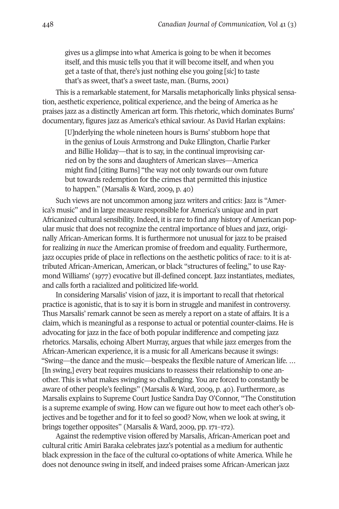gives us a glimpse into what America is going to be when it becomes itself, and this music tells you that it will become itself, and when you get a taste of that, there's just nothing else you going [*sic*] to taste that's as sweet, that's a sweet taste, man. (burns, 2001)

This is a remarkable statement, for Marsalis metaphorically links physical sensation, aesthetic experience, political experience, and the being of America as he praises jazz as a distinctly American art form. this rhetoric, which dominates burns' documentary, figures jazz as America's ethical saviour. As David Harlan explains:

[U]nderlying the whole nineteen hours is burns' stubborn hope that in the genius of Louis Armstrong and Duke Ellington, Charlie Parker and billie Holiday—that is to say, in the continual improvising carried on by the sons and daughters of American slaves—America might find [citing burns] "the way not only towards our own future but towards redemption for the crimes that permitted this injustice to happen." (Marsalis & ward, 2009, p. 40)

such views are not uncommon among jazz writers and critics: Jazz is "America's music" and in large measure responsible for America's unique and in part Africanized cultural sensibility. Indeed, it is rare to find any history of American popular music that does not recognize the central importance of blues and jazz, originally African-American forms. It is furthermore not unusual for jazz to be praised for realizing *in nuce* the American promise of freedom and equality. Furthermore, jazz occupies pride of place in reflections on the aesthetic politics of race: to it is attributed African-American, American, or black "structures of feeling," to use Raymond williams' (1977) evocative but ill-defined concept. Jazz instantiates, mediates, and calls forth a racialized and politicized life-world.

In considering Marsalis' vision of jazz, it is important to recall that rhetorical practice is agonistic, that is to say it is born in struggle and manifest in controversy. Thus Marsalis' remark cannot be seen as merely a report on a state of affairs. It is a claim, which is meaningful as a response to actual or potential counter-claims. He is advocating for jazz in the face of both popular indifference and competing jazz rhetorics. Marsalis, echoing Albert Murray, argues that while jazz emerges from the African-American experience, it is a music for all Americans because it swings: "swing—the dance and the music—bespeaks the flexible nature of American life. … [In swing,] every beat requires musicians to reassess their relationship to one another. this is what makes swinging so challenging. you are forced to constantly be aware of other people's feelings" (Marsalis & ward, 2009, p. 40). Furthermore, as Marsalis explains to supreme Court Justice sandra day o'Connor, "the Constitution is a supreme example of swing. How can we figure out how to meet each other's objectives and be together and for it to feel so good? Now, when we look at swing, it brings together opposites" (Marsalis & ward, 2009, pp. 171–172).

Against the redemptive vision offered by Marsalis, African-American poet and cultural critic Amiri baraka celebrates jazz's potential as a medium for authentic black expression in the face of the cultural co-optations of white America. while he does not denounce swing in itself, and indeed praises some African-American jazz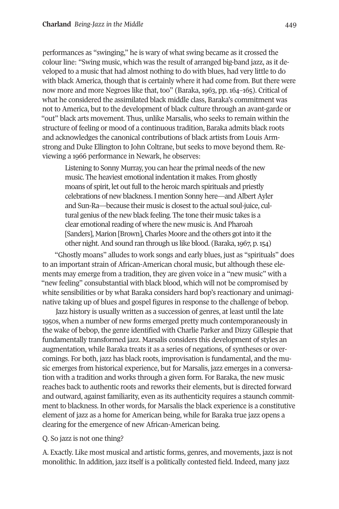performances as "swinging," he is wary of what swing became as it crossed the colour line: "swing music, which was the result of arranged big-band jazz, as it developed to a music that had almost nothing to do with blues, had very little to do with black America, though that is certainly where it had come from. But there were now more and more Negroes like that, too" (baraka, 1963, pp. 164–165). Critical of what he considered the assimilated black middle class, baraka's commitment was not to America, but to the development of black culture through an avant-garde or "out" black arts movement. Thus, unlike Marsalis, who seeks to remain within the structure of feeling or mood of a continuous tradition, baraka admits black roots and acknowledges the canonical contributions of black artists from louis Armstrong and Duke Ellington to John Coltrane, but seeks to move beyond them. Reviewing a 1966 performance in Newark, he observes:

Listening to Sonny Murray, you can hear the primal needs of the new music. The heaviest emotional indentation it makes. From ghostly moans of spirit, let out full to the heroic march spirituals and priestly celebrations of new blackness. I mention Sonny here—and Albert Ayler and Sun-Ra—because their music is closest to the actual soul-juice, cultural genius of the new black feeling. The tone their music takes is a clear emotional reading of where the new music is. And Pharoah [sanders], Marion [brown], Charles Moore and the others got into it the other night.And sound ran through us like blood. (baraka,1967, p.154)

"Ghostly moans" alludes to work songs and early blues, just as "spirituals" does to an important strain of African-American choral music, but although these elements may emerge from a tradition, they are given voice in a "new music" with a "new feeling" consubstantial with black blood, which will not be compromised by white sensibilities or by what Baraka considers hard bop's reactionary and unimaginative taking up of blues and gospel figures in response to the challenge of bebop.

Jazz history is usually written as a succession of genres, at least until the late 1950s, when a number of new forms emerged pretty much contemporaneously in the wake of bebop, the genre identified with Charlie Parker and Dizzy Gillespie that fundamentally transformed jazz. Marsalis considers this development of styles an augmentation, while baraka treats it as a series of negations, of syntheses or overcomings. For both, jazz has black roots, improvisation is fundamental, and the music emerges from historical experience, but for Marsalis, jazz emerges in a conversation with a tradition and works through a given form. For baraka, the new music reaches back to authentic roots and reworks their elements, but is directed forward and outward, against familiarity, even as its authenticity requires a staunch commitment to blackness. In other words, for Marsalis the black experience is a constitutive element of jazz as a home for American being, while for baraka true jazz opens a clearing for the emergence of new African-American being.

### Q. so jazz is not one thing?

A. exactly. like most musical and artistic forms, genres, and movements, jazz is not monolithic. In addition, jazz itself is a politically contested field. Indeed, many jazz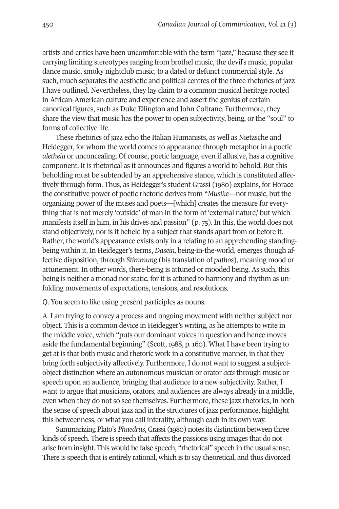artists and critics have been uncomfortable with the term "jazz," because they see it carrying limiting stereotypes ranging from brothel music, the devil's music, popular dance music, smoky nightclub music, to a dated or defunct commercial style. As such, much separates the aesthetic and political centres of the three rhetorics of jazz I have outlined. Nevertheless, they lay claim to a common musical heritage rooted in African-American culture and experience and assert the genius of certain canonical figures, such as Duke Ellington and John Coltrane. Furthermore, they share the view that music has the power to open subjectivity, being, or the "soul" to forms of collective life.

these rhetorics of jazz echo the Italian Humanists, as well as Nietzsche and Heidegger, for whom the world comes to appearance through metaphor in a poetic *aletheia* or unconcealing. of course, poetic language, even if allusive, has a cognitive component. It is rhetorical as it announces and figures a world to behold. but this beholding must be subtended by an apprehensive stance, which is constituted affectively through form. Thus, as Heidegger's student Grassi (1980) explains, for Horace the constitutive power of poetic rhetoric derives from "*Musike*—not music, but the organizing power of the muses and poets—[which] creates the measure for everything that is not merely 'outside' of man in the form of 'external nature,' but which manifests itself in him, in his drives and passion" (p. 75). In this, the world does not stand objectively, nor is it beheld by a subject that stands apart from or before it. rather, the world's appearance exists only in a relating to an apprehending standingbeing within it. In Heidegger's terms, *Dasein,* being-in-the-world, emerges though affective disposition, through *Stimmung* (his translation of *pathos*), meaning mood or attunement. In other words, there-being is attuned or mooded being. As such, this being is neither a monad nor static, for it is attuned to harmony and rhythm as unfolding movements of expectations, tensions, and resolutions.

Q. you seem to like using present participles as nouns.

A. I am trying to convey a process and ongoing movement with neither subject nor object. this is a common device in Heidegger's writing, as he attempts to write in the middle voice, which "puts our dominant voices in question and hence moves aside the fundamental beginning" (scott, 1988, p. 160). what I have been trying to get at is that both music and rhetoric work in a constitutive manner, in that they bring forth subjectivity affectively. Furthermore, I do not want to suggest a subjectobject distinction where an autonomous musician or orator *acts* through music or speech upon an audience, bringing that audience to a new subjectivity. Rather, I want to argue that musicians, orators, and audiences are always already in a middle, even when they do not so see themselves. Furthermore, these jazz rhetorics, in both the sense of speech about jazz and in the structures of jazz performance, highlight this betweenness, or what you call interality, although each in its own way.

summarizing Plato's *Phaedrus*, Grassi (1980) notes its distinction between three kinds of speech. there is speech that affects the passions using images that do not arise from insight. This would be false speech, "rhetorical" speech in the usual sense. there is speech that is entirely rational, which is to say theoretical, and thus divorced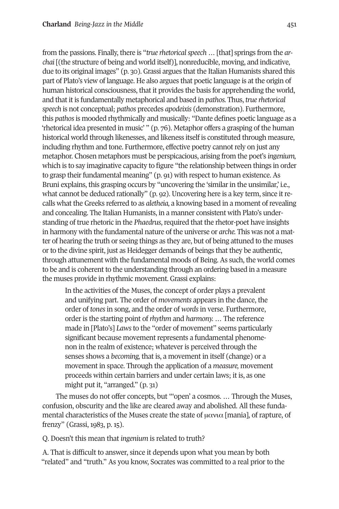from the passions. Finally, there is "*true rhetoricalspeech* … [that] springs from the *archai* [(the structure of being and world itself)], nonreducible, moving, and indicative, due to its original images" (p. 30). Grassi argues that the Italian Humanists shared this part of Plato's view of language. He also argues that poetic language is at the origin of human historical consciousness, that it provides the basis for apprehending the world, and that it is fundamentally metaphorical and based in *pathos.* thus, *true rhetorical speech* is not conceptual; *pathos* precedes *apodeixis* (demonstration). Furthermore, this *pathos* is mooded rhythmically and musically: "Dante defines poetic language as a 'rhetorical idea presented in music' " (p. 76). Metaphor offers a grasping of the human historical world through likenesses, and likeness itself is constituted through measure, including rhythm and tone. Furthermore, effective poetry cannot rely on just any metaphor. Chosen metaphors must be perspicacious, arising from the poet's *ingenium,* which is to say imaginative capacity to figure "the relationship between things in order to grasp their fundamental meaning" (p. 91) with respect to human existence. As Bruni explains, this grasping occurs by "uncovering the 'similar in the unsimilar,' i.e., what cannot be deduced rationally" (p. 92). Uncovering here is a key term, since it recalls what the Greeks referred to as *aletheia,* a knowing based in a moment ofrevealing and concealing. the Italian Humanists, in a manner consistent with Plato's understanding of true rhetoric in the *Phaedrus*, required that the rhetor-poet have insights in harmony with the fundamental nature of the universe or *arche.* this was not a matter of hearing the truth or seeing things as they are, but of being attuned to the muses orto the divine spirit, just as Heidegger demands of beings that they be authentic, through attunement with the fundamental moods of being. As such, the world comes to be and is coherent to the understanding through an ordering based in a measure the muses provide in rhythmic movement. Grassi explains:

In the activities of the Muses, the concept of order plays a prevalent and unifying part. the order of *movements* appears in the dance, the order of *tones*in song, and the order of *words*in verse. Furthermore, order is the starting point of *rhythm* and *harmony.* ... The reference made in [Plato's] *Laws*to the "order of movement" seems particularly significant because movement represents a fundamental phenomenon in the realm of existence; whatever is perceived through the senses shows a *becoming,* that is, a movement in itself (change) or a movement in space. Through the application of a *measure*, movement proceeds within certain barriers and under certain laws; it is, as one might put it, "arranged." (p. 31)

The muses do not offer concepts, but ""open' a cosmos. ... Through the Muses, confusion, obscurity and the like are cleared away and abolished. All these fundamental characteristics of the Muses create the state of μανια [mania], of rapture, of frenzy" (Grassi, 1983, p. 15).

Q. Doesn't this mean that *ingenium* is related to truth?

A. that is difficult to answer, since it depends upon what you mean by both "related" and "truth." As you know, socrates was committed to a real prior to the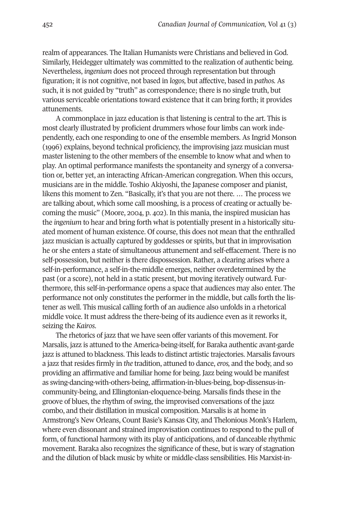realm of appearances. The Italian Humanists were Christians and believed in God. similarly, Heidegger ultimately was committed to the realization of authentic being. Nevertheless, *ingenium* does not proceed through representation but through figuration; it is not cognitive, not based in *logos,* but affective, based in *pathos.* As such, it is not guided by "truth" as correspondence; there is no single truth, but various serviceable orientations toward existence that it can bring forth; it provides attunements.

A commonplace in jazz education is that listening is central to the art. this is most clearly illustrated by proficient drummers whose four limbs can work independently, each one responding to one of the ensemble members. As Ingrid Monson (1996) explains, beyond technical proficiency, the improvising jazz musician must master listening to the other members of the ensemble to know what and when to play. An optimal performance manifests the spontaneity and synergy of a conversation or, better yet, an interacting African-American congregation. when this occurs, musicians are in the middle. Toshio Akiyoshi, the Japanese composer and pianist, likens this moment to Zen. "Basically, it's that you are not there. ... The process we are talking about, which some call mooshing, is a process of creating or actually becoming the music" (Moore, 2004, p. 402). In this mania, the inspired musician has the *ingenium* to hear and bring forth what is potentially present in a historically situated moment of human existence. of course, this does not mean that the enthralled jazz musician is actually captured by goddesses or spirits, but that in improvisation he or she enters a state of simultaneous attunement and self-effacement. there is no self-possession, but neither is there dispossession. Rather, a clearing arises where a self-in-performance, a self-in-the-middle emerges, neither overdetermined by the past (or a score), not held in a static present, but moving iteratively outward. Furthermore, this self-in-performance opens a space that audiences may also enter. the performance not only constitutes the performer in the middle, but calls forth the listener as well. This musical calling forth of an audience also unfolds in a rhetorical middle voice. It must address the there-being of its audience even as it reworks it, seizing the *Kairos*.

The rhetorics of jazz that we have seen offer variants of this movement. For Marsalis, jazz is attuned to the America-being-itself, for baraka authentic avant-garde jazz is attuned to blackness. this leads to distinct artistic trajectories. Marsalis favours a jazz that resides firmly in *the* tradition, attuned to dance, *eros,* and the body, and so providing an affirmative and familiar home for being. Jazz being would be manifest as swing-dancing-with-others-being, affirmation-in-blues-being, bop-dissensus-incommunity-being, and ellingtonian-eloquence-being. Marsalis finds these in the groove of blues, the rhythm of swing, the improvised conversations of the jazz combo, and their distillation in musical composition. Marsalis is at home in Armstrong's New orleans, Count basie's Kansas City, and thelonious Monk's Harlem, where even dissonant and strained improvisation continues to respond to the pull of form, of functional harmony with its play of anticipations, and of danceable rhythmic movement. baraka also recognizes the significance of these, but is wary of stagnation and the dilution of black music by white or middle-class sensibilities. His Marxist-in-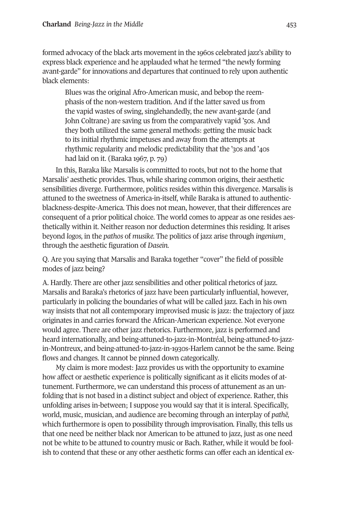formed advocacy of the black arts movement in the 1960s celebrated jazz's ability to express black experience and he applauded what he termed "the newly forming avant-garde" for innovations and departures that continued to rely upon authentic black elements:

blues was the original Afro-American music, and bebop the reemphasis of the non-western tradition. And if the latter saved us from the vapid wastes of swing, singlehandedly, the new avant-garde (and John Coltrane) are saving us from the comparatively vapid '50s. And they both utilized the same general methods: getting the music back to its initial rhythmic impetuses and away from the attempts at rhythmic regularity and melodic predictability that the '30s and '40s had laid on it. (baraka 1967, p. 79)

In this, baraka like Marsalis is committed to roots, but not to the home that Marsalis' aesthetic provides. thus, while sharing common origins, their aesthetic sensibilities diverge. Furthermore, politics resides within this divergence. Marsalis is attuned to the sweetness of America-in-itself, while baraka is attuned to authenticblackness-despite-America. this does not mean, however, that their differences are consequent of a prior political choice. the world comes to appear as one resides aesthetically within it. Neither reason nor deduction determines this residing. It arises beyond *logos,* in the *pathos* of *musike.* the politics of jazz arise through *ingenium¸* through the aesthetic figuration of *Dasein.*

Q. Are you saying that Marsalis and baraka together "cover" the field of possible modes of jazz being?

A. Hardly. there are other jazz sensibilities and other political rhetorics of jazz. Marsalis and baraka's rhetorics of jazz have been particularly influential, however, particularly in policing the boundaries of what will be called jazz. Each in his own way insists that not all contemporary improvised music is jazz: the trajectory of jazz originates in and carries forward the African-American experience. Not everyone would agree. there are other jazz rhetorics. Furthermore, jazz is performed and heard internationally, and being-attuned-to-jazz-in-Montréal, being-attuned-to-jazzin-Montreux, and being-attuned-to-jazz-in-1930s-Harlem cannot be the same. being flows and changes. It cannot be pinned down categorically.

My claim is more modest: Jazz provides us with the opportunity to examine how affect or aesthetic experience is politically significant as it elicits modes of attunement. Furthermore, we can understand this process of attunement as an unfolding that is not based in a distinct subject and object of experience. Rather, this unfolding arises in-between; I suppose you would say that it is interal. specifically, world, music, musician, and audience are becoming through an interplay of *pathē,* which furthermore is open to possibility through improvisation*.* Finally, this tells us that one need be neither black nor American to be attuned to jazz, just as one need not be white to be attuned to country music or Bach. Rather, while it would be foolish to contend that these or any other aesthetic forms can offer each an identical ex-